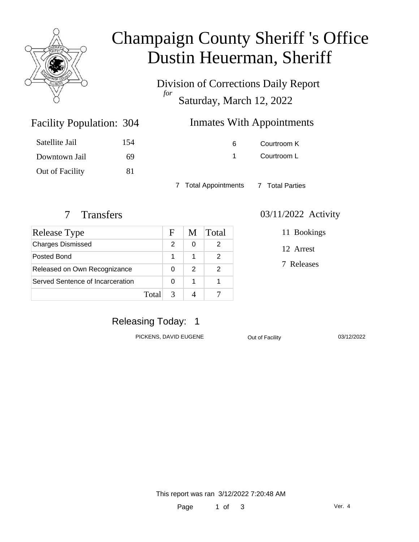

# Champaign County Sheriff 's Office Dustin Heuerman, Sheriff

Division of Corrections Daily Report *for* Saturday, March 12, 2022

# Inmates With Appointments

| Satellite Jail  | 154 |
|-----------------|-----|
| Downtown Jail   | 69  |
| Out of Facility | 81  |

Facility Population: 304

6 Courtroom K 1 Courtroom L

7 Total Appointments 7 Total Parties

| <b>Release Type</b>              |       | F | M | Total |
|----------------------------------|-------|---|---|-------|
| <b>Charges Dismissed</b>         |       | 2 | 0 |       |
| Posted Bond                      |       |   |   |       |
| Released on Own Recognizance     |       |   | 2 |       |
| Served Sentence of Incarceration |       | 0 |   |       |
|                                  | Total |   |   |       |

#### 7 Transfers 03/11/2022 Activity

11 Bookings

12 Arrest

7 Releases

# Releasing Today: 1

PICKENS, DAVID EUGENE **Out of Facility** 03/12/2022

This report was ran 3/12/2022 7:20:48 AM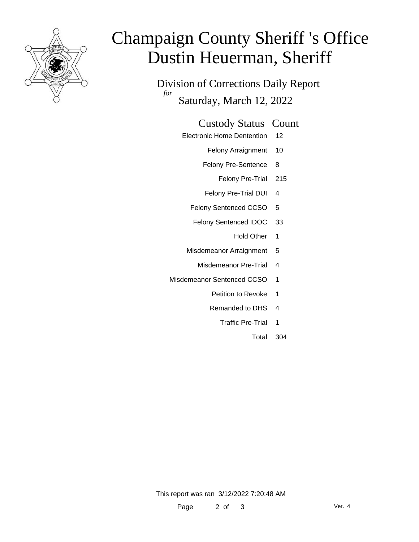

# Champaign County Sheriff 's Office Dustin Heuerman, Sheriff

Division of Corrections Daily Report *for* Saturday, March 12, 2022

#### Custody Status Count

- Electronic Home Dentention 12
	- Felony Arraignment 10
	- Felony Pre-Sentence 8
		- Felony Pre-Trial 215
	- Felony Pre-Trial DUI 4
	- Felony Sentenced CCSO 5
	- Felony Sentenced IDOC 33
		- Hold Other 1
	- Misdemeanor Arraignment 5
		- Misdemeanor Pre-Trial 4
- Misdemeanor Sentenced CCSO 1
	- Petition to Revoke 1
	- Remanded to DHS 4
		- Traffic Pre-Trial 1
			- Total 304

This report was ran 3/12/2022 7:20:48 AM